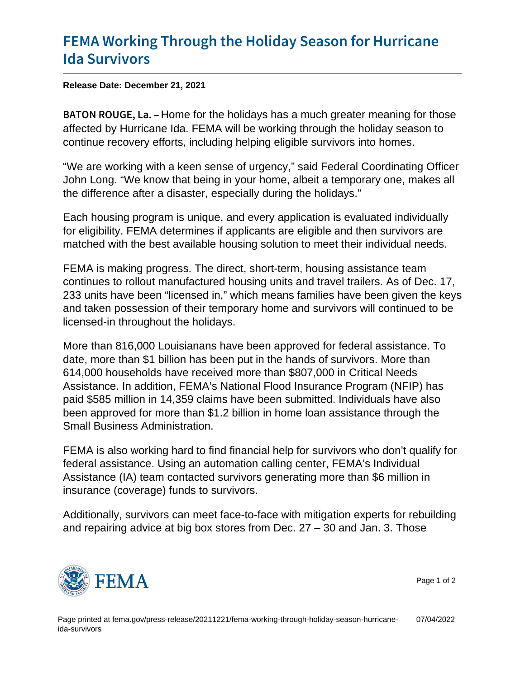## [FEMA Working Through the Holida](https://www.fema.gov/press-release/20211221/fema-working-through-holiday-season-hurricane-ida-survivors)y Seaso [Ida Surv](https://www.fema.gov/press-release/20211221/fema-working-through-holiday-season-hurricane-ida-survivors)ivors

Release Date: December 21, 2021

B A T O N R O U GHE for the holidays has a much greater meaning for those affected by Hurricane Ida. FEMA will be working through the holiday season to continue recovery efforts, including helping eligible survivors into homes.

"We are working with a keen sense of urgency," said Federal Coordinating Officer John Long. "We know that being in your home, albeit a temporary one, makes all the difference after a disaster, especially during the holidays."

Each housing program is unique, and every application is evaluated individually for eligibility. FEMA determines if applicants are eligible and then survivors are matched with the best available housing solution to meet their individual needs.

FEMA is making progress. The direct, short-term, housing assistance team continues to rollout manufactured housing units and travel trailers. As of Dec. 17, 233 units have been "licensed in," which means families have been given the keys and taken possession of their temporary home and survivors will continued to be licensed-in throughout the holidays.

More than 816,000 Louisianans have been approved for federal assistance. To date, more than \$1 billion has been put in the hands of survivors. More than 614,000 households have received more than \$807,000 in Critical Needs Assistance. In addition, FEMA's National Flood Insurance Program (NFIP) has paid \$585 million in 14,359 claims have been submitted. Individuals have also been approved for more than \$1.2 billion in home loan assistance through the Small Business Administration.

FEMA is also working hard to find financial help for survivors who don't qualify for federal assistance. Using an automation calling center, FEMA's Individual Assistance (IA) team contacted survivors generating more than \$6 million in insurance (coverage) funds to survivors.

Additionally, survivors can meet face-to-face with mitigation experts for rebuilding and repairing advice at big box stores from Dec. 27 – 30 and Jan. 3. Those



Page 1 of 2